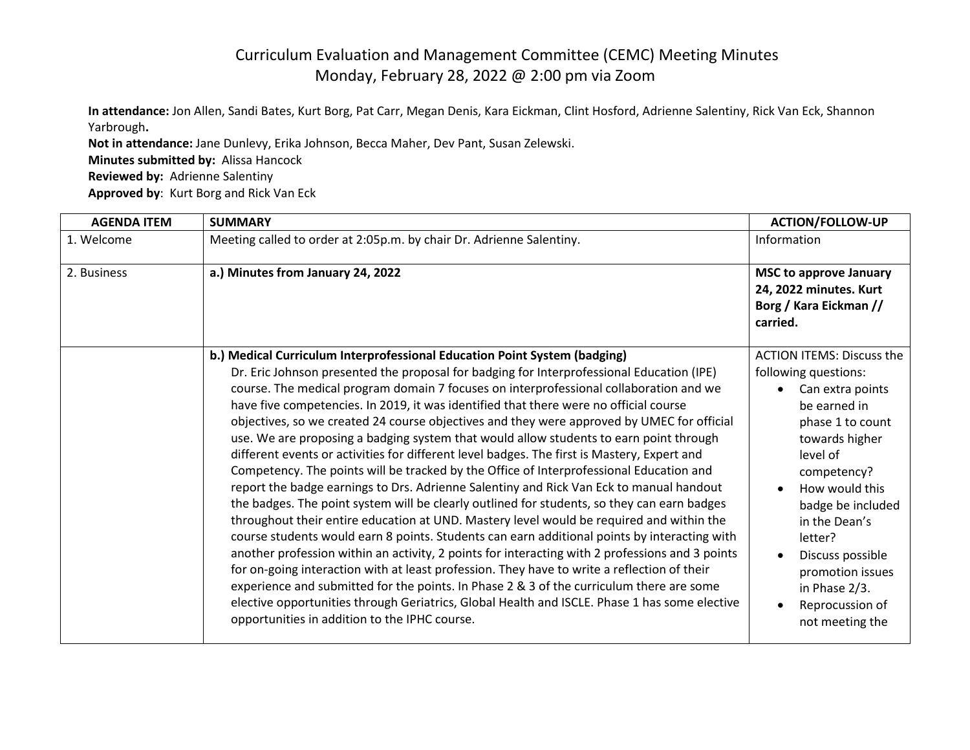## Curriculum Evaluation and Management Committee (CEMC) Meeting Minutes Monday, February 28, 2022 @ 2:00 pm via Zoom

**In attendance:** Jon Allen, Sandi Bates, Kurt Borg, Pat Carr, Megan Denis, Kara Eickman, Clint Hosford, Adrienne Salentiny, Rick Van Eck, Shannon Yarbrough**.**

**Not in attendance:** Jane Dunlevy, Erika Johnson, Becca Maher, Dev Pant, Susan Zelewski. **Minutes submitted by:** Alissa Hancock **Reviewed by:** Adrienne Salentiny

**Approved by**: Kurt Borg and Rick Van Eck

| <b>AGENDA ITEM</b> | <b>SUMMARY</b>                                                                                                                                                                                                                                                                                                                                                                                                                                                                                                                                                                                                                                                                                                                                                                                                                                                                                                                                                                                                                                                                                                                                                                                                                                                                                                                                                                                                                                                                                       | <b>ACTION/FOLLOW-UP</b>                                                                                                                                                                                                                                                                        |
|--------------------|------------------------------------------------------------------------------------------------------------------------------------------------------------------------------------------------------------------------------------------------------------------------------------------------------------------------------------------------------------------------------------------------------------------------------------------------------------------------------------------------------------------------------------------------------------------------------------------------------------------------------------------------------------------------------------------------------------------------------------------------------------------------------------------------------------------------------------------------------------------------------------------------------------------------------------------------------------------------------------------------------------------------------------------------------------------------------------------------------------------------------------------------------------------------------------------------------------------------------------------------------------------------------------------------------------------------------------------------------------------------------------------------------------------------------------------------------------------------------------------------------|------------------------------------------------------------------------------------------------------------------------------------------------------------------------------------------------------------------------------------------------------------------------------------------------|
| 1. Welcome         | Meeting called to order at 2:05p.m. by chair Dr. Adrienne Salentiny.                                                                                                                                                                                                                                                                                                                                                                                                                                                                                                                                                                                                                                                                                                                                                                                                                                                                                                                                                                                                                                                                                                                                                                                                                                                                                                                                                                                                                                 | Information                                                                                                                                                                                                                                                                                    |
| 2. Business        | a.) Minutes from January 24, 2022                                                                                                                                                                                                                                                                                                                                                                                                                                                                                                                                                                                                                                                                                                                                                                                                                                                                                                                                                                                                                                                                                                                                                                                                                                                                                                                                                                                                                                                                    | <b>MSC to approve January</b><br>24, 2022 minutes. Kurt<br>Borg / Kara Eickman //<br>carried.                                                                                                                                                                                                  |
|                    | b.) Medical Curriculum Interprofessional Education Point System (badging)                                                                                                                                                                                                                                                                                                                                                                                                                                                                                                                                                                                                                                                                                                                                                                                                                                                                                                                                                                                                                                                                                                                                                                                                                                                                                                                                                                                                                            | <b>ACTION ITEMS: Discuss the</b>                                                                                                                                                                                                                                                               |
|                    | Dr. Eric Johnson presented the proposal for badging for Interprofessional Education (IPE)<br>course. The medical program domain 7 focuses on interprofessional collaboration and we<br>have five competencies. In 2019, it was identified that there were no official course<br>objectives, so we created 24 course objectives and they were approved by UMEC for official<br>use. We are proposing a badging system that would allow students to earn point through<br>different events or activities for different level badges. The first is Mastery, Expert and<br>Competency. The points will be tracked by the Office of Interprofessional Education and<br>report the badge earnings to Drs. Adrienne Salentiny and Rick Van Eck to manual handout<br>the badges. The point system will be clearly outlined for students, so they can earn badges<br>throughout their entire education at UND. Mastery level would be required and within the<br>course students would earn 8 points. Students can earn additional points by interacting with<br>another profession within an activity, 2 points for interacting with 2 professions and 3 points<br>for on-going interaction with at least profession. They have to write a reflection of their<br>experience and submitted for the points. In Phase 2 & 3 of the curriculum there are some<br>elective opportunities through Geriatrics, Global Health and ISCLE. Phase 1 has some elective<br>opportunities in addition to the IPHC course. | following questions:<br>Can extra points<br>be earned in<br>phase 1 to count<br>towards higher<br>level of<br>competency?<br>How would this<br>badge be included<br>in the Dean's<br>letter?<br>Discuss possible<br>promotion issues<br>in Phase $2/3$ .<br>Reprocussion of<br>not meeting the |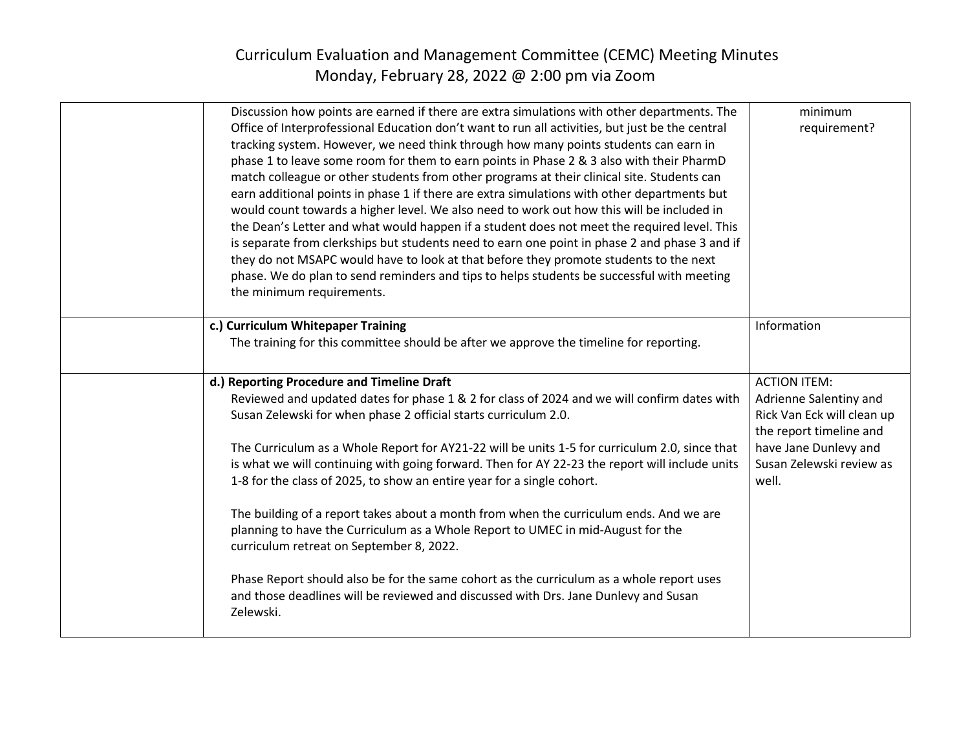## Curriculum Evaluation and Management Committee (CEMC) Meeting Minutes Monday, February 28, 2022 @ 2:00 pm via Zoom

| Discussion how points are earned if there are extra simulations with other departments. The     | minimum                    |
|-------------------------------------------------------------------------------------------------|----------------------------|
| Office of Interprofessional Education don't want to run all activities, but just be the central | requirement?               |
| tracking system. However, we need think through how many points students can earn in            |                            |
| phase 1 to leave some room for them to earn points in Phase 2 & 3 also with their PharmD        |                            |
| match colleague or other students from other programs at their clinical site. Students can      |                            |
| earn additional points in phase 1 if there are extra simulations with other departments but     |                            |
| would count towards a higher level. We also need to work out how this will be included in       |                            |
| the Dean's Letter and what would happen if a student does not meet the required level. This     |                            |
| is separate from clerkships but students need to earn one point in phase 2 and phase 3 and if   |                            |
| they do not MSAPC would have to look at that before they promote students to the next           |                            |
| phase. We do plan to send reminders and tips to helps students be successful with meeting       |                            |
| the minimum requirements.                                                                       |                            |
|                                                                                                 |                            |
| c.) Curriculum Whitepaper Training                                                              | Information                |
| The training for this committee should be after we approve the timeline for reporting.          |                            |
|                                                                                                 |                            |
| d.) Reporting Procedure and Timeline Draft                                                      | <b>ACTION ITEM:</b>        |
| Reviewed and updated dates for phase 1 & 2 for class of 2024 and we will confirm dates with     | Adrienne Salentiny and     |
| Susan Zelewski for when phase 2 official starts curriculum 2.0.                                 | Rick Van Eck will clean up |
|                                                                                                 | the report timeline and    |
| The Curriculum as a Whole Report for AY21-22 will be units 1-5 for curriculum 2.0, since that   | have Jane Dunlevy and      |
| is what we will continuing with going forward. Then for AY 22-23 the report will include units  | Susan Zelewski review as   |
| 1-8 for the class of 2025, to show an entire year for a single cohort.                          | well.                      |
|                                                                                                 |                            |
| The building of a report takes about a month from when the curriculum ends. And we are          |                            |
| planning to have the Curriculum as a Whole Report to UMEC in mid-August for the                 |                            |
| curriculum retreat on September 8, 2022.                                                        |                            |
|                                                                                                 |                            |
| Phase Report should also be for the same cohort as the curriculum as a whole report uses        |                            |
| and those deadlines will be reviewed and discussed with Drs. Jane Dunlevy and Susan             |                            |
| Zelewski.                                                                                       |                            |
|                                                                                                 |                            |